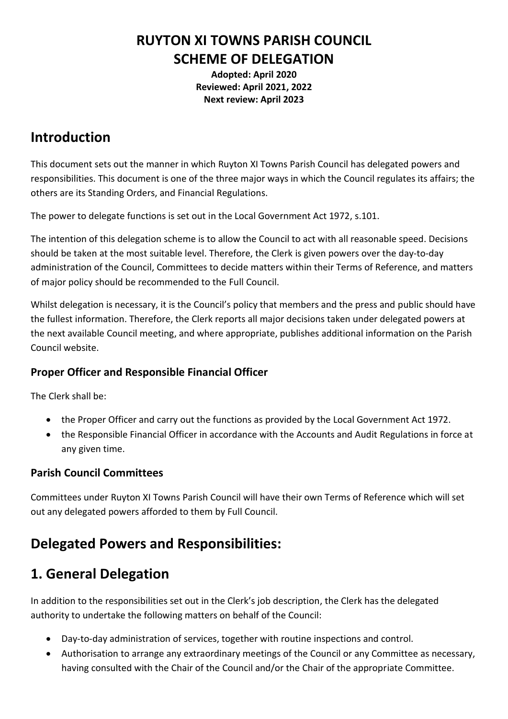### **RUYTON XI TOWNS PARISH COUNCIL SCHEME OF DELEGATION**

**Adopted: April 2020 Reviewed: April 2021, 2022 Next review: April 2023**

#### **Introduction**

This document sets out the manner in which Ruyton XI Towns Parish Council has delegated powers and responsibilities. This document is one of the three major ways in which the Council regulates its affairs; the others are its Standing Orders, and Financial Regulations.

The power to delegate functions is set out in the Local Government Act 1972, s.101.

The intention of this delegation scheme is to allow the Council to act with all reasonable speed. Decisions should be taken at the most suitable level. Therefore, the Clerk is given powers over the day-to-day administration of the Council, Committees to decide matters within their Terms of Reference, and matters of major policy should be recommended to the Full Council.

Whilst delegation is necessary, it is the Council's policy that members and the press and public should have the fullest information. Therefore, the Clerk reports all major decisions taken under delegated powers at the next available Council meeting, and where appropriate, publishes additional information on the Parish Council website.

#### **Proper Officer and Responsible Financial Officer**

The Clerk shall be:

- the Proper Officer and carry out the functions as provided by the Local Government Act 1972.
- the Responsible Financial Officer in accordance with the Accounts and Audit Regulations in force at any given time.

#### **Parish Council Committees**

Committees under Ruyton XI Towns Parish Council will have their own Terms of Reference which will set out any delegated powers afforded to them by Full Council.

#### **Delegated Powers and Responsibilities:**

### **1. General Delegation**

In addition to the responsibilities set out in the Clerk's job description, the Clerk has the delegated authority to undertake the following matters on behalf of the Council:

- Day-to-day administration of services, together with routine inspections and control.
- Authorisation to arrange any extraordinary meetings of the Council or any Committee as necessary, having consulted with the Chair of the Council and/or the Chair of the appropriate Committee.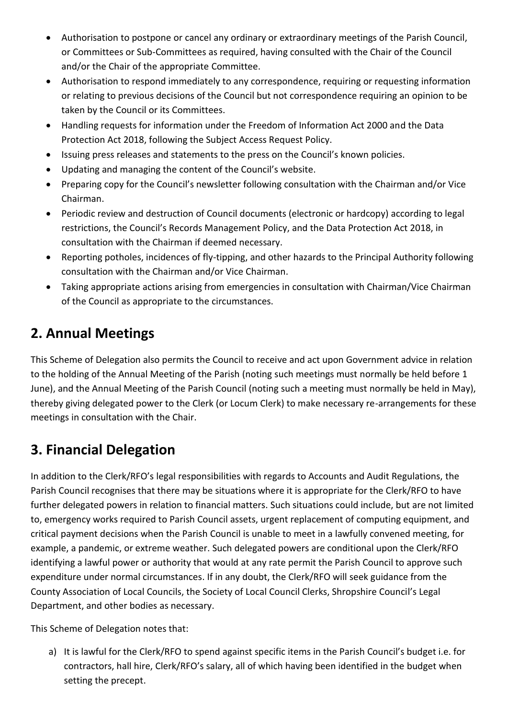- Authorisation to postpone or cancel any ordinary or extraordinary meetings of the Parish Council, or Committees or Sub-Committees as required, having consulted with the Chair of the Council and/or the Chair of the appropriate Committee.
- Authorisation to respond immediately to any correspondence, requiring or requesting information or relating to previous decisions of the Council but not correspondence requiring an opinion to be taken by the Council or its Committees.
- Handling requests for information under the Freedom of Information Act 2000 and the Data Protection Act 2018, following the Subject Access Request Policy.
- Issuing press releases and statements to the press on the Council's known policies.
- Updating and managing the content of the Council's website.
- Preparing copy for the Council's newsletter following consultation with the Chairman and/or Vice Chairman.
- Periodic review and destruction of Council documents (electronic or hardcopy) according to legal restrictions, the Council's Records Management Policy, and the Data Protection Act 2018, in consultation with the Chairman if deemed necessary.
- Reporting potholes, incidences of fly-tipping, and other hazards to the Principal Authority following consultation with the Chairman and/or Vice Chairman.
- Taking appropriate actions arising from emergencies in consultation with Chairman/Vice Chairman of the Council as appropriate to the circumstances.

# **2. Annual Meetings**

This Scheme of Delegation also permits the Council to receive and act upon Government advice in relation to the holding of the Annual Meeting of the Parish (noting such meetings must normally be held before 1 June), and the Annual Meeting of the Parish Council (noting such a meeting must normally be held in May), thereby giving delegated power to the Clerk (or Locum Clerk) to make necessary re-arrangements for these meetings in consultation with the Chair.

# **3. Financial Delegation**

In addition to the Clerk/RFO's legal responsibilities with regards to Accounts and Audit Regulations, the Parish Council recognises that there may be situations where it is appropriate for the Clerk/RFO to have further delegated powers in relation to financial matters. Such situations could include, but are not limited to, emergency works required to Parish Council assets, urgent replacement of computing equipment, and critical payment decisions when the Parish Council is unable to meet in a lawfully convened meeting, for example, a pandemic, or extreme weather. Such delegated powers are conditional upon the Clerk/RFO identifying a lawful power or authority that would at any rate permit the Parish Council to approve such expenditure under normal circumstances. If in any doubt, the Clerk/RFO will seek guidance from the County Association of Local Councils, the Society of Local Council Clerks, Shropshire Council's Legal Department, and other bodies as necessary.

This Scheme of Delegation notes that:

a) It is lawful for the Clerk/RFO to spend against specific items in the Parish Council's budget i.e. for contractors, hall hire, Clerk/RFO's salary, all of which having been identified in the budget when setting the precept.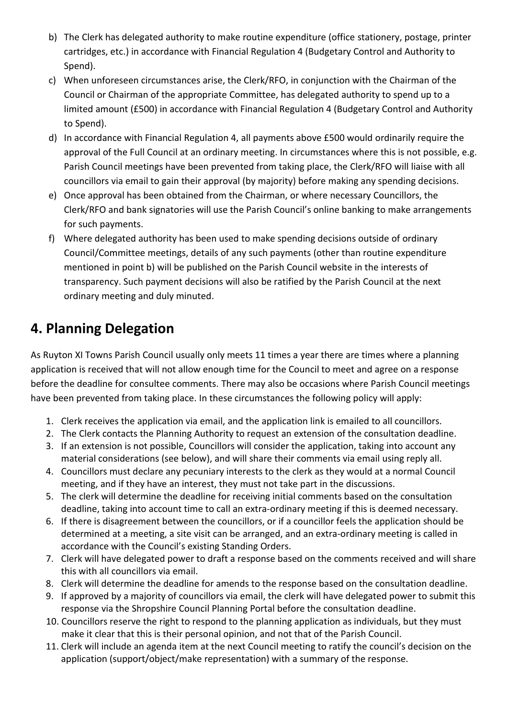- b) The Clerk has delegated authority to make routine expenditure (office stationery, postage, printer cartridges, etc.) in accordance with Financial Regulation 4 (Budgetary Control and Authority to Spend).
- c) When unforeseen circumstances arise, the Clerk/RFO, in conjunction with the Chairman of the Council or Chairman of the appropriate Committee, has delegated authority to spend up to a limited amount (£500) in accordance with Financial Regulation 4 (Budgetary Control and Authority to Spend).
- d) In accordance with Financial Regulation 4, all payments above £500 would ordinarily require the approval of the Full Council at an ordinary meeting. In circumstances where this is not possible, e.g. Parish Council meetings have been prevented from taking place, the Clerk/RFO will liaise with all councillors via email to gain their approval (by majority) before making any spending decisions.
- e) Once approval has been obtained from the Chairman, or where necessary Councillors, the Clerk/RFO and bank signatories will use the Parish Council's online banking to make arrangements for such payments.
- f) Where delegated authority has been used to make spending decisions outside of ordinary Council/Committee meetings, details of any such payments (other than routine expenditure mentioned in point b) will be published on the Parish Council website in the interests of transparency. Such payment decisions will also be ratified by the Parish Council at the next ordinary meeting and duly minuted.

## **4. Planning Delegation**

As Ruyton XI Towns Parish Council usually only meets 11 times a year there are times where a planning application is received that will not allow enough time for the Council to meet and agree on a response before the deadline for consultee comments. There may also be occasions where Parish Council meetings have been prevented from taking place. In these circumstances the following policy will apply:

- 1. Clerk receives the application via email, and the application link is emailed to all councillors.
- 2. The Clerk contacts the Planning Authority to request an extension of the consultation deadline.
- 3. If an extension is not possible, Councillors will consider the application, taking into account any material considerations (see below), and will share their comments via email using reply all.
- 4. Councillors must declare any pecuniary interests to the clerk as they would at a normal Council meeting, and if they have an interest, they must not take part in the discussions.
- 5. The clerk will determine the deadline for receiving initial comments based on the consultation deadline, taking into account time to call an extra-ordinary meeting if this is deemed necessary.
- 6. If there is disagreement between the councillors, or if a councillor feels the application should be determined at a meeting, a site visit can be arranged, and an extra-ordinary meeting is called in accordance with the Council's existing Standing Orders.
- 7. Clerk will have delegated power to draft a response based on the comments received and will share this with all councillors via email.
- 8. Clerk will determine the deadline for amends to the response based on the consultation deadline.
- 9. If approved by a majority of councillors via email, the clerk will have delegated power to submit this response via the Shropshire Council Planning Portal before the consultation deadline.
- 10. Councillors reserve the right to respond to the planning application as individuals, but they must make it clear that this is their personal opinion, and not that of the Parish Council.
- 11. Clerk will include an agenda item at the next Council meeting to ratify the council's decision on the application (support/object/make representation) with a summary of the response.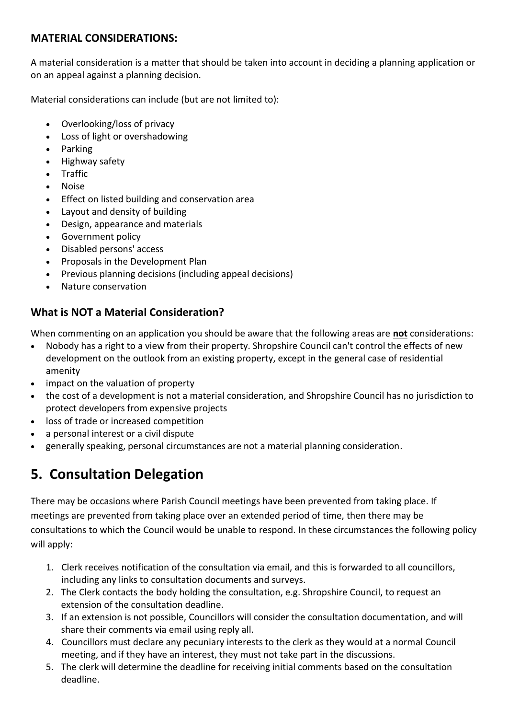#### **MATERIAL CONSIDERATIONS:**

A material consideration is a matter that should be taken into account in deciding a planning application or on an appeal against a planning decision.

Material considerations can include (but are not limited to):

- Overlooking/loss of privacy
- Loss of light or overshadowing
- Parking
- Highway safety
- Traffic
- Noise
- Effect on listed building and conservation area
- Layout and density of building
- Design, appearance and materials
- Government policy
- Disabled persons' access
- Proposals in the Development Plan
- Previous planning decisions (including appeal decisions)
- Nature conservation

#### **What is NOT a Material Consideration?**

When commenting on an application you should be aware that the following areas are **not** considerations:

- Nobody has a right to a view from their property. Shropshire Council can't control the effects of new development on the outlook from an existing property, except in the general case of residential amenity
- impact on the valuation of property
- the cost of a development is not a material consideration, and Shropshire Council has no jurisdiction to protect developers from expensive projects
- loss of trade or increased competition
- a personal interest or a civil dispute
- generally speaking, personal circumstances are not a material planning consideration.

# **5. Consultation Delegation**

There may be occasions where Parish Council meetings have been prevented from taking place. If meetings are prevented from taking place over an extended period of time, then there may be consultations to which the Council would be unable to respond. In these circumstances the following policy will apply:

- 1. Clerk receives notification of the consultation via email, and this is forwarded to all councillors, including any links to consultation documents and surveys.
- 2. The Clerk contacts the body holding the consultation, e.g. Shropshire Council, to request an extension of the consultation deadline.
- 3. If an extension is not possible, Councillors will consider the consultation documentation, and will share their comments via email using reply all.
- 4. Councillors must declare any pecuniary interests to the clerk as they would at a normal Council meeting, and if they have an interest, they must not take part in the discussions.
- 5. The clerk will determine the deadline for receiving initial comments based on the consultation deadline.